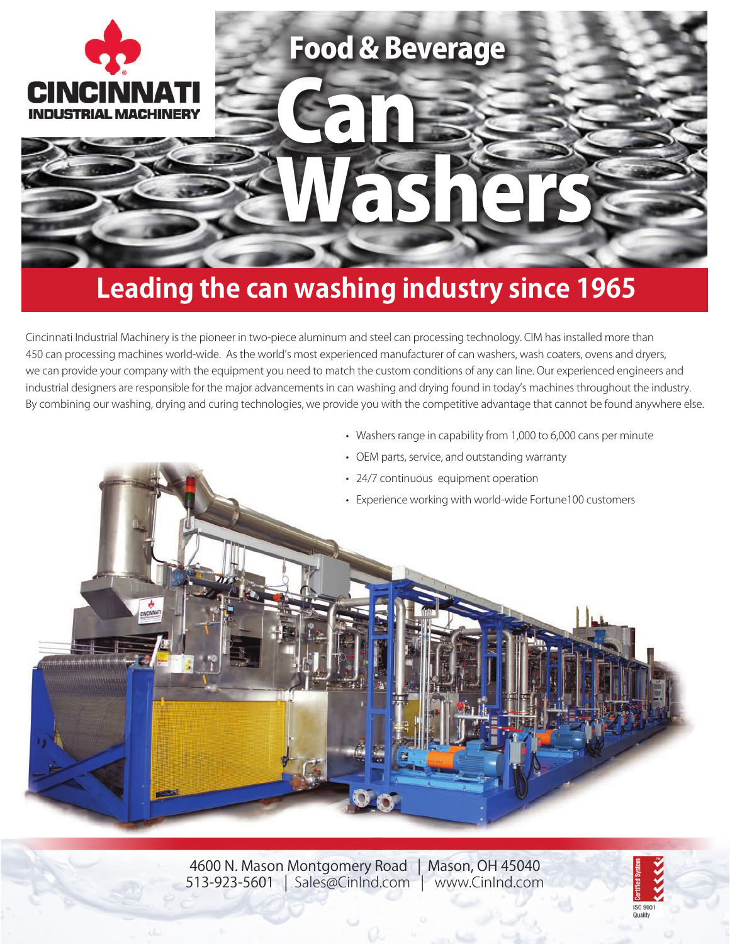

## **Leading the can washing industry since 1965**

Cincinnati Industrial Machinery is the pioneer in two-piece aluminum and steel can processing technology. CIM has installed more than 450 can processing machines world-wide. As the world's most experienced manufacturer of can washers, wash coaters, ovens and dryers, we can provide your company with the equipment you need to match the custom conditions of any can line. Our experienced engineers and industrial designers are responsible for the major advancements in can washing and drying found in today's machines throughout the industry. By combining our washing, drying and curing technologies, we provide you with the competitive advantage that cannot be found anywhere else.

- Washers range in capability from 1,000 to 6,000 cans per minute
- OEM parts, service, and outstanding warranty
- 24/7 continuous equipment operation
- Experience working with world-wide Fortune100 customers